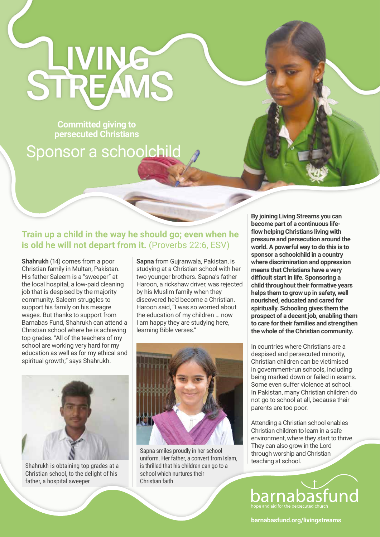## STREAMS

**Committed giving to persecuted Christians** 

## Sponsor a schoolchild

## **Train up a child in the way he should go; even when he is old he will not depart from it.** (Proverbs 22:6, ESV)

**Shahrukh** (14) comes from a poor Christian family in Multan, Pakistan. His father Saleem is a "sweeper" at the local hospital, a low-paid cleaning job that is despised by the majority community. Saleem struggles to support his family on his meagre wages. But thanks to support from Barnabas Fund, Shahrukh can attend a Christian school where he is achieving top grades. "All of the teachers of my school are working very hard for my education as well as for my ethical and spiritual growth," says Shahrukh.



Shahrukh is obtaining top grades at a Christian school, to the delight of his father, a hospital sweeper

**Sapna** from Gujranwala, Pakistan, is studying at a Christian school with her two younger brothers. Sapna's father Haroon, a rickshaw driver, was rejected by his Muslim family when they discovered he'd become a Christian. Haroon said, "I was so worried about the education of my children … now I am happy they are studying here, learning Bible verses."



Sapna smiles proudly in her school uniform. Her father, a convert from Islam, is thrilled that his children can go to a school which nurtures their Christian faith

**By joining Living Streams you can become part of a continuous lifeflow helping Christians living with pressure and persecution around the world. A powerful way to do this is to sponsor a schoolchild in a country where discrimination and oppression means that Christians have a very difficult start in life. Sponsoring a child throughout their formative years helps them to grow up in safety, well nourished, educated and cared for spiritually. Schooling gives them the prospect of a decent job, enabling them to care for their families and strengthen the whole of the Christian community.** 

In countries where Christians are a despised and persecuted minority, Christian children can be victimised in government-run schools, including being marked down or failed in exams. Some even suffer violence at school. In Pakistan, many Christian children do not go to school at all, because their parents are too poor.

Attending a Christian school enables Christian children to learn in a safe environment, where they start to thrive. They can also grow in the Lord through worship and Christian teaching at school.